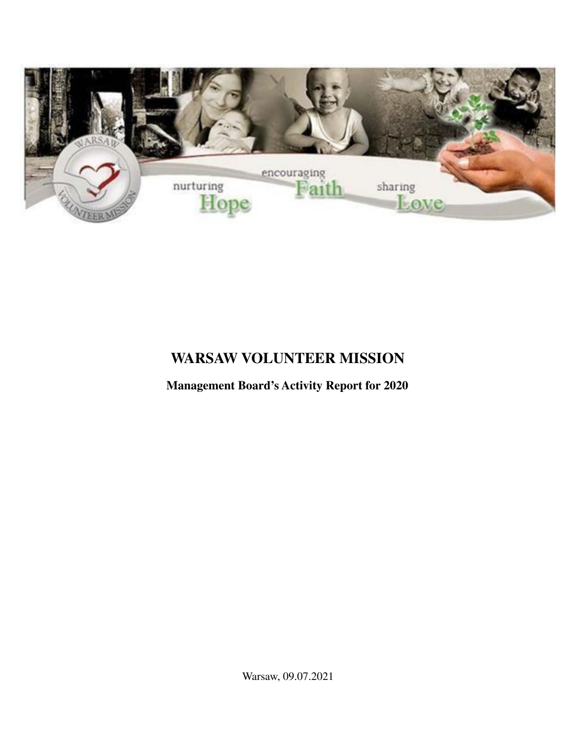

# **WARSAW VOLUNTEER MISSION**

**Management Board's Activity Report for 2020**

Warsaw, 09.07.2021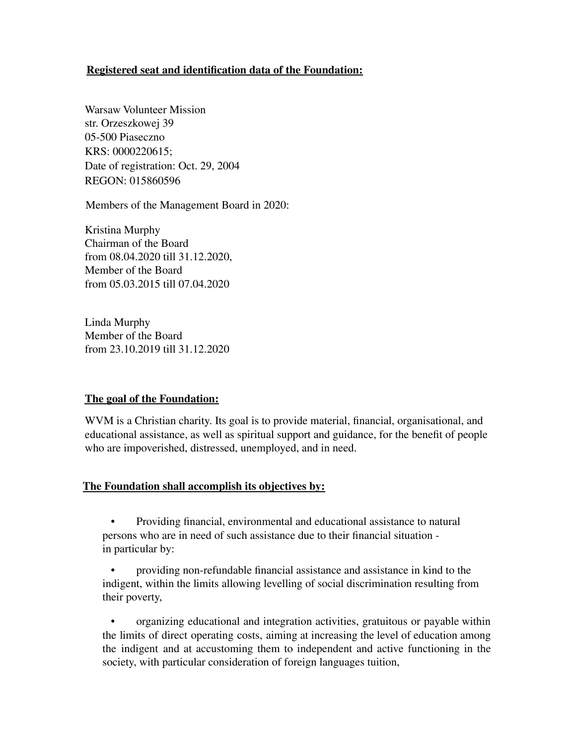## **Registered seat and identification data of the Foundation:**

Warsaw Volunteer Mission str. Orzeszkowej 39 05-500 Piaseczno KRS: 0000220615; Date of registration: Oct. 29, 2004 REGON: 015860596

Members of the Management Board in 2020:

Kristina Murphy Chairman of the Board from 08.04.2020 till 31.12.2020, Member of the Board from 05.03.2015 till 07.04.2020

Linda Murphy Member of the Board from 23.10.2019 till 31.12.2020

#### **The goal of the Foundation:**

WVM is a Christian charity. Its goal is to provide material, financial, organisational, and educational assistance, as well as spiritual support and guidance, for the benefit of people who are impoverished, distressed, unemployed, and in need.

#### **The Foundation shall accomplish its objectives by:**

• Providing financial, environmental and educational assistance to natural persons who are in need of such assistance due to their financial situation in particular by:

• providing non-refundable financial assistance and assistance in kind to the indigent, within the limits allowing levelling of social discrimination resulting from their poverty,

• organizing educational and integration activities, gratuitous or payable within the limits of direct operating costs, aiming at increasing the level of education among the indigent and at accustoming them to independent and active functioning in the society, with particular consideration of foreign languages tuition,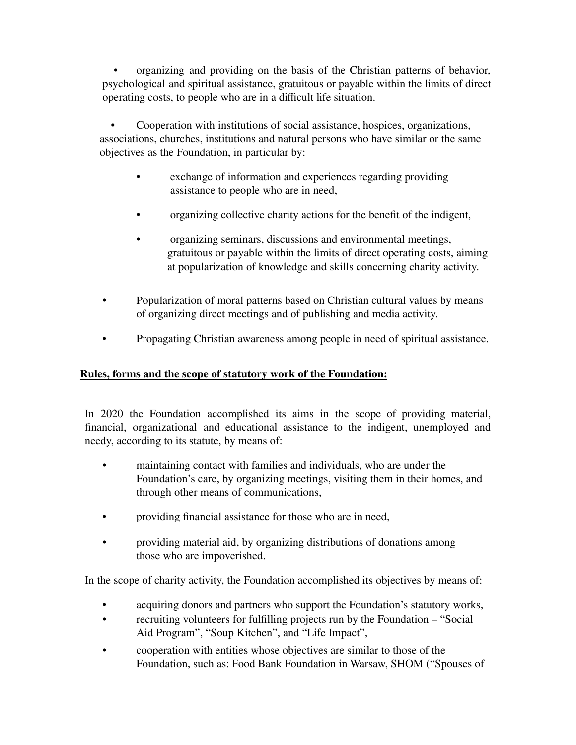• organizing and providing on the basis of the Christian patterns of behavior, psychological and spiritual assistance, gratuitous or payable within the limits of direct operating costs, to people who are in a difficult life situation.

• Cooperation with institutions of social assistance, hospices, organizations, associations, churches, institutions and natural persons who have similar or the same objectives as the Foundation, in particular by:

- exchange of information and experiences regarding providing assistance to people who are in need,
- organizing collective charity actions for the benefit of the indigent,
- organizing seminars, discussions and environmental meetings, gratuitous or payable within the limits of direct operating costs, aiming at popularization of knowledge and skills concerning charity activity.
- Popularization of moral patterns based on Christian cultural values by means of organizing direct meetings and of publishing and media activity.
- Propagating Christian awareness among people in need of spiritual assistance.

# **Rules, forms and the scope of statutory work of the Foundation:**

In 2020 the Foundation accomplished its aims in the scope of providing material, financial, organizational and educational assistance to the indigent, unemployed and needy, according to its statute, by means of:

- maintaining contact with families and individuals, who are under the Foundation's care, by organizing meetings, visiting them in their homes, and through other means of communications,
- providing financial assistance for those who are in need,
- providing material aid, by organizing distributions of donations among those who are impoverished.

In the scope of charity activity, the Foundation accomplished its objectives by means of:

- acquiring donors and partners who support the Foundation's statutory works,
- recruiting volunteers for fulfilling projects run by the Foundation "Social" Aid Program", "Soup Kitchen", and "Life Impact",
- cooperation with entities whose objectives are similar to those of the Foundation, such as: Food Bank Foundation in Warsaw, SHOM ("Spouses of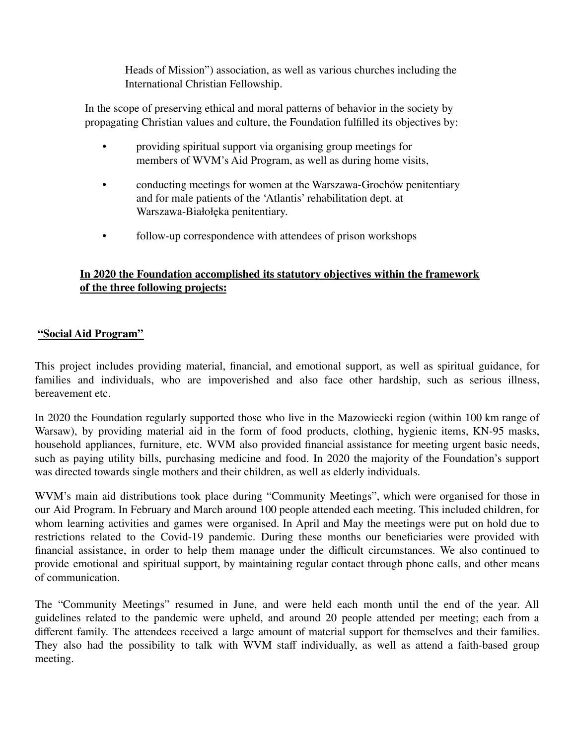Heads of Mission") association, as well as various churches including the International Christian Fellowship.

In the scope of preserving ethical and moral patterns of behavior in the society by propagating Christian values and culture, the Foundation fulfilled its objectives by:

- providing spiritual support via organising group meetings for members of WVM's Aid Program, as well as during home visits,
- conducting meetings for women at the Warszawa-Grochów penitentiary and for male patients of the 'Atlantis' rehabilitation dept. at Warszawa-Białołęka penitentiary.
- follow-up correspondence with attendees of prison workshops

# **In 2020 the Foundation accomplished its statutory objectives within the framework of the three following projects:**

## **"Social Aid Program"**

This project includes providing material, financial, and emotional support, as well as spiritual guidance, for families and individuals, who are impoverished and also face other hardship, such as serious illness, bereavement etc.

In 2020 the Foundation regularly supported those who live in the Mazowiecki region (within 100 km range of Warsaw), by providing material aid in the form of food products, clothing, hygienic items, KN-95 masks, household appliances, furniture, etc. WVM also provided financial assistance for meeting urgent basic needs, such as paying utility bills, purchasing medicine and food. In 2020 the majority of the Foundation's support was directed towards single mothers and their children, as well as elderly individuals.

WVM's main aid distributions took place during "Community Meetings", which were organised for those in our Aid Program. In February and March around 100 people attended each meeting. This included children, for whom learning activities and games were organised. In April and May the meetings were put on hold due to restrictions related to the Covid-19 pandemic. During these months our beneficiaries were provided with financial assistance, in order to help them manage under the difficult circumstances. We also continued to provide emotional and spiritual support, by maintaining regular contact through phone calls, and other means of communication.

The "Community Meetings" resumed in June, and were held each month until the end of the year. All guidelines related to the pandemic were upheld, and around 20 people attended per meeting; each from a different family. The attendees received a large amount of material support for themselves and their families. They also had the possibility to talk with WVM staff individually, as well as attend a faith-based group meeting.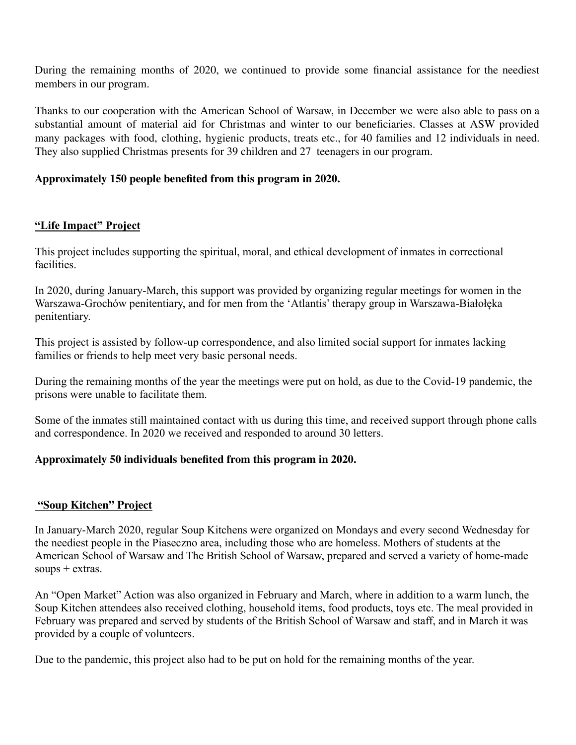During the remaining months of 2020, we continued to provide some financial assistance for the neediest members in our program.

Thanks to our cooperation with the American School of Warsaw, in December we were also able to pass on a substantial amount of material aid for Christmas and winter to our beneficiaries. Classes at ASW provided many packages with food, clothing, hygienic products, treats etc., for 40 families and 12 individuals in need. They also supplied Christmas presents for 39 children and 27 teenagers in our program.

# **Approximately 150 people benefited from this program in 2020.**

# **"Life Impact" Project**

This project includes supporting the spiritual, moral, and ethical development of inmates in correctional facilities.

In 2020, during January-March, this support was provided by organizing regular meetings for women in the Warszawa-Grochów penitentiary, and for men from the 'Atlantis' therapy group in Warszawa-Białołęka penitentiary.

This project is assisted by follow-up correspondence, and also limited social support for inmates lacking families or friends to help meet very basic personal needs.

During the remaining months of the year the meetings were put on hold, as due to the Covid-19 pandemic, the prisons were unable to facilitate them.

Some of the inmates still maintained contact with us during this time, and received support through phone calls and correspondence. In 2020 we received and responded to around 30 letters.

## **Approximately 50 individuals benefited from this program in 2020.**

## **"Soup Kitchen" Project**

In January-March 2020, regular Soup Kitchens were organized on Mondays and every second Wednesday for the neediest people in the Piaseczno area, including those who are homeless. Mothers of students at the American School of Warsaw and The British School of Warsaw, prepared and served a variety of home-made soups + extras.

An "Open Market" Action was also organized in February and March, where in addition to a warm lunch, the Soup Kitchen attendees also received clothing, household items, food products, toys etc. The meal provided in February was prepared and served by students of the British School of Warsaw and staff, and in March it was provided by a couple of volunteers.

Due to the pandemic, this project also had to be put on hold for the remaining months of the year.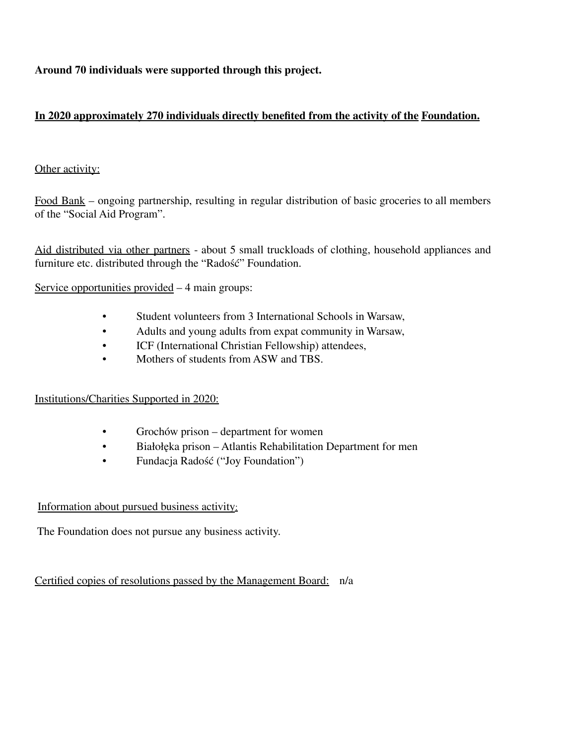**Around 70 individuals were supported through this project.**

# **In 2020 approximately 270 individuals directly benefited from the activity of the Foundation.**

## Other activity:

Food Bank – ongoing partnership, resulting in regular distribution of basic groceries to all members of the "Social Aid Program".

Aid distributed via other partners - about 5 small truckloads of clothing, household appliances and furniture etc. distributed through the "Radość" Foundation.

Service opportunities provided – 4 main groups:

- Student volunteers from 3 International Schools in Warsaw,
- Adults and young adults from expat community in Warsaw,
- ICF (International Christian Fellowship) attendees,
- Mothers of students from ASW and TBS

## Institutions/Charities Supported in 2020:

- Grochów prison department for women
- Białołęka prison Atlantis Rehabilitation Department for men
- Fundacja Radość ("Joy Foundation")

## Information about pursued business activity:

The Foundation does not pursue any business activity.

Certified copies of resolutions passed by the Management Board: n/a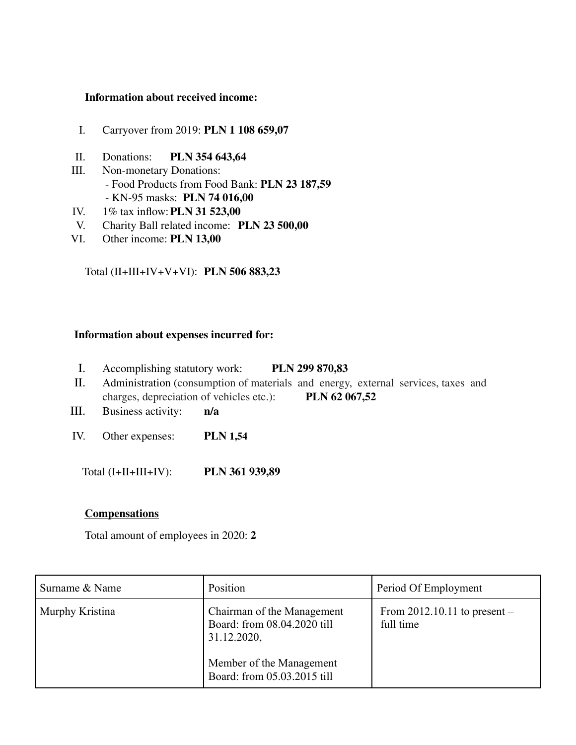#### **Information about received income:**

- I. Carryover from 2019: **PLN 1 108 659,07**
- II. Donations: **PLN 354 643,64**
- III. Non-monetary Donations: - Food Products from Food Bank: **PLN 23 187,59** - KN-95 masks: **PLN 74 016,00**
- IV. 1% tax inflow:**PLN 31 523,00**
- V. Charity Ball related income: **PLN 23 500,00**
- VI. Other income: **PLN 13,00**

## Total (II+III+IV+V+VI): **PLN 506 883,23**

#### **Information about expenses incurred for:**

- I. Accomplishing statutory work: **PLN 299 870,83**
- II. Administration (consumption of materials and energy, external services, taxes and charges, depreciation of vehicles etc.): **PLN 62 067,52**
- III. Business activity: **n/a**
- IV. Other expenses: **PLN 1,54**

Total (I+II+III+IV): **PLN 361 939,89**

#### **Compensations**

Total amount of employees in 2020: **2**

| Surname & Name  | Position                                                                 | Period Of Employment                        |
|-----------------|--------------------------------------------------------------------------|---------------------------------------------|
| Murphy Kristina | Chairman of the Management<br>Board: from 08.04.2020 till<br>31.12.2020, | From $2012.10.11$ to present –<br>full time |
|                 | Member of the Management<br>Board: from 05.03.2015 till                  |                                             |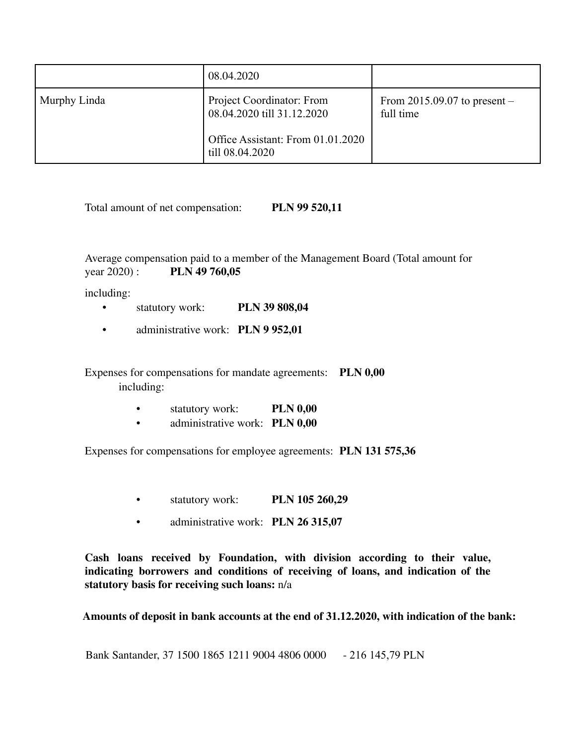|              | 08.04.2020                                              |                                             |
|--------------|---------------------------------------------------------|---------------------------------------------|
| Murphy Linda | Project Coordinator: From<br>08.04.2020 till 31.12.2020 | From $2015.09.07$ to present –<br>full time |
|              | Office Assistant: From 01.01.2020<br>till 08.04.2020    |                                             |

Total amount of net compensation: **PLN 99 520,11**

Average compensation paid to a member of the Management Board (Total amount for year 2020) : **PLN 49 760,05**

including:

- statutory work: **PLN 39 808,04**
- administrative work: **PLN 9 952,01**

Expenses for compensations for mandate agreements: **PLN 0,00** including:

- statutory work: **PLN 0,00**
- administrative work: **PLN 0,00**

Expenses for compensations for employee agreements: **PLN 131 575,36**

- statutory work: **PLN 105 260,29**
- administrative work: **PLN 26 315,07**

**Cash loans received by Foundation, with division according to their value, indicating borrowers and conditions of receiving of loans, and indication of the statutory basis for receiving such loans:** n/a

**Amounts of deposit in bank accounts at the end of 31.12.2020, with indication of the bank:**

Bank Santander, 37 1500 1865 1211 9004 4806 0000 - 216 145,79 PLN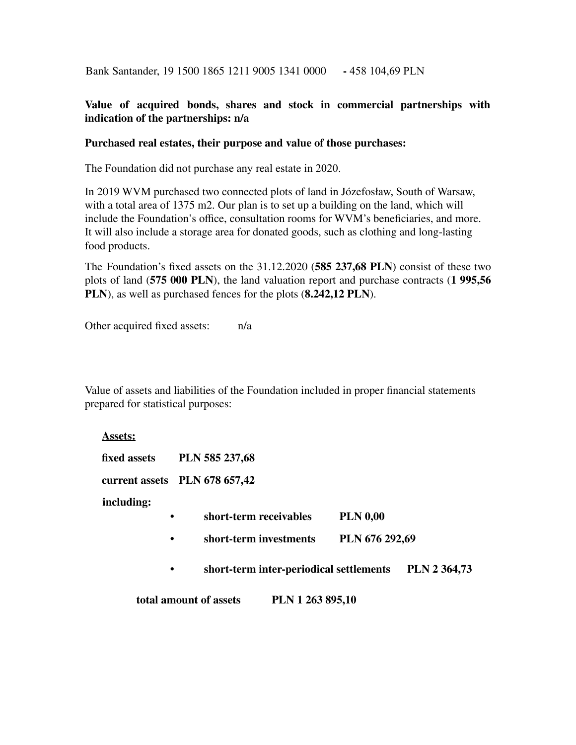Bank Santander, 19 1500 1865 1211 9005 1341 0000 **-** 458 104,69 PLN

## **Value of acquired bonds, shares and stock in commercial partnerships with indication of the partnerships: n/a**

#### **Purchased real estates, their purpose and value of those purchases:**

The Foundation did not purchase any real estate in 2020.

In 2019 WVM purchased two connected plots of land in Józefosław, South of Warsaw, with a total area of 1375 m2. Our plan is to set up a building on the land, which will include the Foundation's office, consultation rooms for WVM's beneficiaries, and more. It will also include a storage area for donated goods, such as clothing and long-lasting food products.

The Foundation's fixed assets on the 31.12.2020 (**585 237,68 PLN**) consist of these two plots of land (**575 000 PLN**), the land valuation report and purchase contracts (**1 995,56 PLN**), as well as purchased fences for the plots (**8.242,12 PLN**).

Other acquired fixed assets: n/a

Value of assets and liabilities of the Foundation included in proper financial statements prepared for statistical purposes:

**Assets:**

| fixed assets | PLN 585 237,68 |
|--------------|----------------|
|--------------|----------------|

**current assets PLN 678 657,42**

**including:**

- **• short-term receivables PLN 0,00**
- **• short-term investments PLN 676 292,69**
- **• short-term inter-periodical settlements PLN 2 364,73**

**total amount of assets PLN 1 263 895,10**